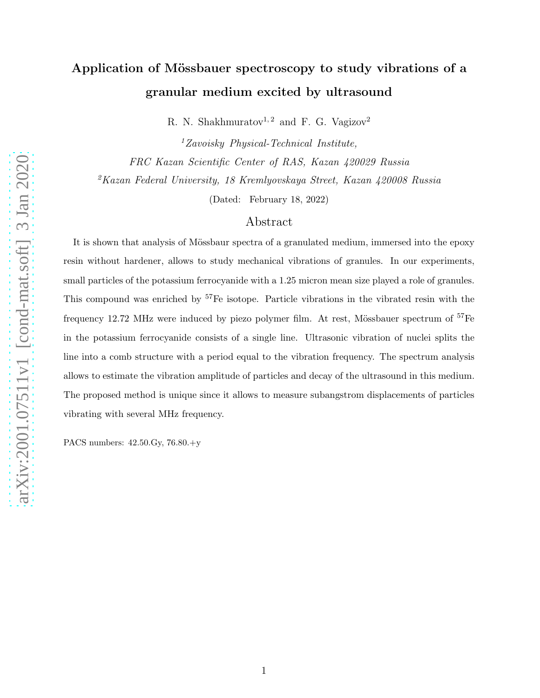## Application of Mössbauer spectroscopy to study vibrations of a granular medium excited by ultrasound

R. N. Shakhmuratov<sup>1, 2</sup> and F. G. Vagizov<sup>2</sup>

 ${}^{1}Zavoisky$  Physical-Technical Institute, FRC Kazan Scientific Center of RAS, Kazan 420029 Russia <sup>2</sup>Kazan Federal University, 18 Kremlyovskaya Street, Kazan 420008 Russia

(Dated: February 18, 2022)

## Abstract

It is shown that analysis of Mössbaur spectra of a granulated medium, immersed into the epoxy resin without hardener, allows to study mechanical vibrations of granules. In our experiments, small particles of the potassium ferrocyanide with a 1.25 micron mean size played a role of granules. This compound was enriched by <sup>57</sup>Fe isotope. Particle vibrations in the vibrated resin with the frequency 12.72 MHz were induced by piezo polymer film. At rest, Mössbauer spectrum of  $57Fe$ in the potassium ferrocyanide consists of a single line. Ultrasonic vibration of nuclei splits the line into a comb structure with a period equal to the vibration frequency. The spectrum analysis allows to estimate the vibration amplitude of particles and decay of the ultrasound in this medium. The proposed method is unique since it allows to measure subangstrom displacements of particles vibrating with several MHz frequency.

PACS numbers: 42.50.Gy, 76.80.+y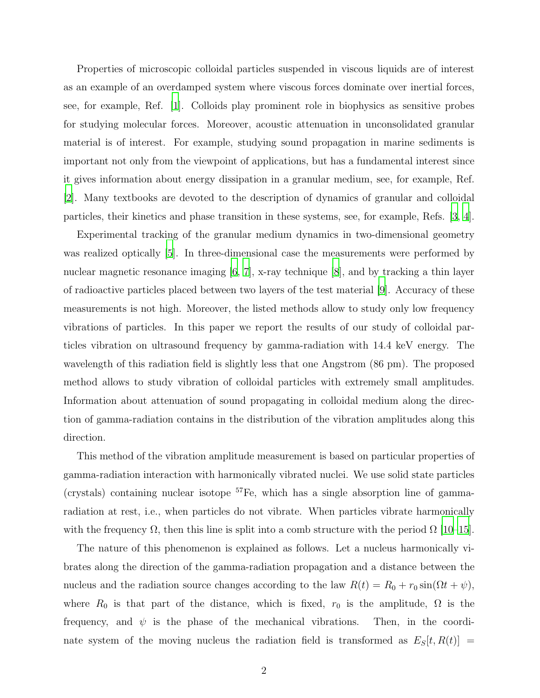Properties of microscopic colloidal particles suspended in viscous liquids are of interest as an example of an overdamped system where viscous forces dominate over inertial forces, see, for example, Ref. [\[1](#page-8-0)]. Colloids play prominent role in biophysics as sensitive probes for studying molecular forces. Moreover, acoustic attenuation in unconsolidated granular material is of interest. For example, studying sound propagation in marine sediments is important not only from the viewpoint of applications, but has a fundamental interest since it gives information about energy dissipation in a granular medium, see, for example, Ref. [\[2](#page-8-1)]. Many textbooks are devoted to the description of dynamics of granular and colloidal particles, their kinetics and phase transition in these systems, see, for example, Refs. [\[3,](#page-8-2) [4\]](#page-8-3).

Experimental tracking of the granular medium dynamics in two-dimensional geometry was realized optically [\[5\]](#page-8-4). In three-dimensional case the measurements were performed by nuclear magnetic resonance imaging  $[6, 7]$  $[6, 7]$  $[6, 7]$ , x-ray technique  $[8]$ , and by tracking a thin layer of radioactive particles placed between two layers of the test material [\[9\]](#page-8-8). Accuracy of these measurements is not high. Moreover, the listed methods allow to study only low frequency vibrations of particles. In this paper we report the results of our study of colloidal particles vibration on ultrasound frequency by gamma-radiation with 14.4 keV energy. The wavelength of this radiation field is slightly less that one Angstrom (86 pm). The proposed method allows to study vibration of colloidal particles with extremely small amplitudes. Information about attenuation of sound propagating in colloidal medium along the direction of gamma-radiation contains in the distribution of the vibration amplitudes along this direction.

This method of the vibration amplitude measurement is based on particular properties of gamma-radiation interaction with harmonically vibrated nuclei. We use solid state particles (crystals) containing nuclear isotope  ${}^{57}Fe$ , which has a single absorption line of gammaradiation at rest, i.e., when particles do not vibrate. When particles vibrate harmonically with the frequency  $\Omega$ , then this line is split into a comb structure with the period  $\Omega$  [\[10](#page-8-9)[–15\]](#page-8-10).

The nature of this phenomenon is explained as follows. Let a nucleus harmonically vibrates along the direction of the gamma-radiation propagation and a distance between the nucleus and the radiation source changes according to the law  $R(t) = R_0 + r_0 \sin(\Omega t + \psi)$ , where  $R_0$  is that part of the distance, which is fixed,  $r_0$  is the amplitude,  $\Omega$  is the frequency, and  $\psi$  is the phase of the mechanical vibrations. Then, in the coordinate system of the moving nucleus the radiation field is transformed as  $E_S[t, R(t)] =$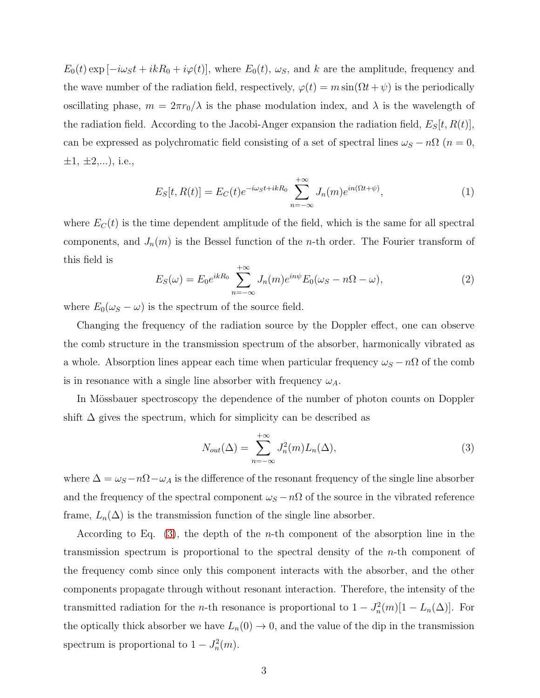$E_0(t) \exp[-i\omega_S t + i kR_0 + i\varphi(t)]$ , where  $E_0(t)$ ,  $\omega_S$ , and k are the amplitude, frequency and the wave number of the radiation field, respectively,  $\varphi(t) = m \sin(\Omega t + \psi)$  is the periodically oscillating phase,  $m = 2\pi r_0/\lambda$  is the phase modulation index, and  $\lambda$  is the wavelength of the radiation field. According to the Jacobi-Anger expansion the radiation field,  $E_S[t, R(t)]$ , can be expressed as polychromatic field consisting of a set of spectral lines  $\omega_S - n\Omega$  ( $n = 0$ ,  $\pm 1, \pm 2,...$ , i.e.,

$$
E_S[t, R(t)] = E_C(t)e^{-i\omega_S t + ikR_0} \sum_{n=-\infty}^{+\infty} J_n(m)e^{in(\Omega t + \psi)}, \qquad (1)
$$

where  $E_C(t)$  is the time dependent amplitude of the field, which is the same for all spectral components, and  $J_n(m)$  is the Bessel function of the *n*-th order. The Fourier transform of this field is

<span id="page-2-1"></span>
$$
E_S(\omega) = E_0 e^{ikR_0} \sum_{n=-\infty}^{+\infty} J_n(m) e^{in\psi} E_0(\omega_S - n\Omega - \omega), \qquad (2)
$$

where  $E_0(\omega_S - \omega)$  is the spectrum of the source field.

Changing the frequency of the radiation source by the Doppler effect, one can observe the comb structure in the transmission spectrum of the absorber, harmonically vibrated as a whole. Absorption lines appear each time when particular frequency  $\omega_S - n\Omega$  of the comb is in resonance with a single line absorber with frequency  $\omega_A$ .

In Mössbauer spectroscopy the dependence of the number of photon counts on Doppler shift  $\Delta$  gives the spectrum, which for simplicity can be described as

<span id="page-2-0"></span>
$$
N_{out}(\Delta) = \sum_{n=-\infty}^{+\infty} J_n^2(m) L_n(\Delta), \qquad (3)
$$

where  $\Delta = \omega_S - n\Omega - \omega_A$  is the difference of the resonant frequency of the single line absorber and the frequency of the spectral component  $\omega_S - n\Omega$  of the source in the vibrated reference frame,  $L_n(\Delta)$  is the transmission function of the single line absorber.

According to Eq.  $(3)$ , the depth of the *n*-th component of the absorption line in the transmission spectrum is proportional to the spectral density of the n-th component of the frequency comb since only this component interacts with the absorber, and the other components propagate through without resonant interaction. Therefore, the intensity of the transmitted radiation for the *n*-th resonance is proportional to  $1 - J_n^2(m)[1 - L_n(\Delta)]$ . For the optically thick absorber we have  $L_n(0) \to 0$ , and the value of the dip in the transmission spectrum is proportional to  $1 - J_n^2(m)$ .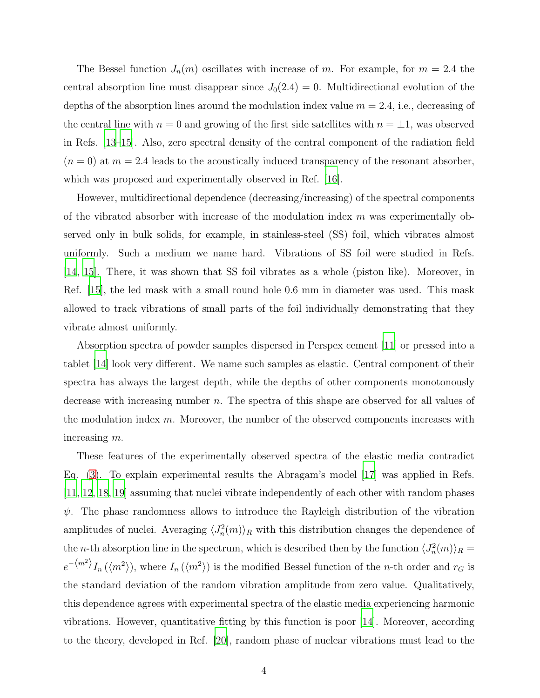The Bessel function  $J_n(m)$  oscillates with increase of m. For example, for  $m = 2.4$  the central absorption line must disappear since  $J_0(2.4) = 0$ . Multidirectional evolution of the depths of the absorption lines around the modulation index value  $m = 2.4$ , i.e., decreasing of the central line with  $n = 0$  and growing of the first side satellites with  $n = \pm 1$ , was observed in Refs. [\[13](#page-8-11)[–15](#page-8-10)]. Also, zero spectral density of the central component of the radiation field  $(n = 0)$  at  $m = 2.4$  leads to the acoustically induced transparency of the resonant absorber, which was proposed and experimentally observed in Ref. [\[16\]](#page-8-12).

However, multidirectional dependence (decreasing/increasing) of the spectral components of the vibrated absorber with increase of the modulation index  $m$  was experimentally observed only in bulk solids, for example, in stainless-steel (SS) foil, which vibrates almost uniformly. Such a medium we name hard. Vibrations of SS foil were studied in Refs. [\[14](#page-8-13), [15\]](#page-8-10). There, it was shown that SS foil vibrates as a whole (piston like). Moreover, in Ref. [\[15](#page-8-10)], the led mask with a small round hole 0.6 mm in diameter was used. This mask allowed to track vibrations of small parts of the foil individually demonstrating that they vibrate almost uniformly.

Absorption spectra of powder samples dispersed in Perspex cement [\[11](#page-8-14)] or pressed into a tablet [\[14](#page-8-13)] look very different. We name such samples as elastic. Central component of their spectra has always the largest depth, while the depths of other components monotonously decrease with increasing number n. The spectra of this shape are observed for all values of the modulation index  $m$ . Moreover, the number of the observed components increases with increasing m.

These features of the experimentally observed spectra of the elastic media contradict Eq. [\(3\)](#page-2-0). To explain experimental results the Abragam's model [\[17\]](#page-8-15) was applied in Refs. [\[11](#page-8-14), [12](#page-8-16), [18](#page-9-0), [19](#page-9-1)] assuming that nuclei vibrate independently of each other with random phases  $\psi$ . The phase randomness allows to introduce the Rayleigh distribution of the vibration amplitudes of nuclei. Averaging  $\langle J_n^2(m) \rangle_R$  with this distribution changes the dependence of the *n*-th absorption line in the spectrum, which is described then by the function  $\langle J_n^2(m) \rangle_R =$  $e^{-\langle m^2 \rangle} I_n(\langle m^2 \rangle)$ , where  $I_n(\langle m^2 \rangle)$  is the modified Bessel function of the *n*-th order and  $r_G$  is the standard deviation of the random vibration amplitude from zero value. Qualitatively, this dependence agrees with experimental spectra of the elastic media experiencing harmonic vibrations. However, quantitative fitting by this function is poor [\[14\]](#page-8-13). Moreover, according to the theory, developed in Ref. [\[20\]](#page-9-2), random phase of nuclear vibrations must lead to the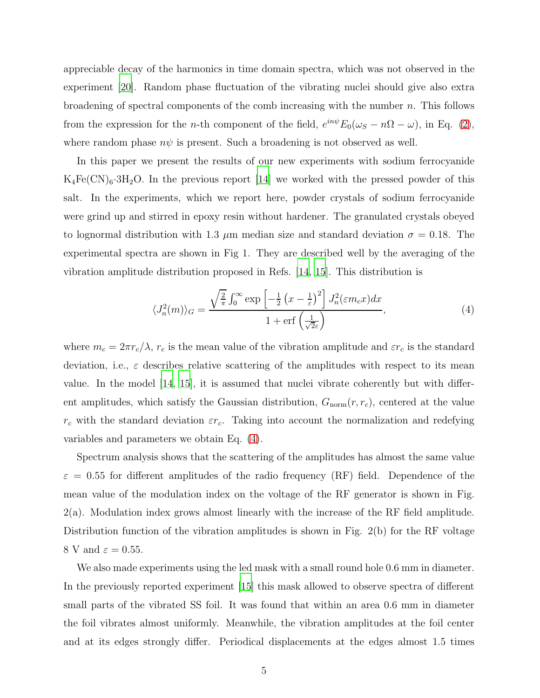appreciable decay of the harmonics in time domain spectra, which was not observed in the experiment [\[20\]](#page-9-2). Random phase fluctuation of the vibrating nuclei should give also extra broadening of spectral components of the comb increasing with the number  $n$ . This follows from the expression for the *n*-th component of the field,  $e^{in\psi}E_0(\omega_S - n\Omega - \omega)$ , in Eq. [\(2\)](#page-2-1), where random phase  $n\psi$  is present. Such a broadening is not observed as well.

In this paper we present the results of our new experiments with sodium ferrocyanide  $K_4Fe(CN)_6·3H_2O$ . In the previous report [\[14\]](#page-8-13) we worked with the pressed powder of this salt. In the experiments, which we report here, powder crystals of sodium ferrocyanide were grind up and stirred in epoxy resin without hardener. The granulated crystals obeyed to lognormal distribution with 1.3  $\mu$ m median size and standard deviation  $\sigma = 0.18$ . The experimental spectra are shown in Fig 1. They are described well by the averaging of the vibration amplitude distribution proposed in Refs. [\[14](#page-8-13), [15](#page-8-10)]. This distribution is

<span id="page-4-0"></span>
$$
\langle J_n^2(m) \rangle_G = \frac{\sqrt{\frac{2}{\pi}} \int_0^\infty \exp\left[ -\frac{1}{2} \left( x - \frac{1}{\varepsilon} \right)^2 \right] J_n^2(\varepsilon m_c x) dx}{1 + \text{erf}\left( \frac{1}{\sqrt{2\varepsilon}} \right)},\tag{4}
$$

where  $m_c = 2\pi r_c/\lambda$ ,  $r_c$  is the mean value of the vibration amplitude and  $\varepsilon r_c$  is the standard deviation, i.e.,  $\varepsilon$  describes relative scattering of the amplitudes with respect to its mean value. In the model [\[14,](#page-8-13) [15\]](#page-8-10), it is assumed that nuclei vibrate coherently but with different amplitudes, which satisfy the Gaussian distribution,  $G_{\text{norm}}(r, r_c)$ , centered at the value  $r_c$  with the standard deviation  $\varepsilon r_c$ . Taking into account the normalization and redefying variables and parameters we obtain Eq. [\(4\)](#page-4-0).

Spectrum analysis shows that the scattering of the amplitudes has almost the same value  $\varepsilon = 0.55$  for different amplitudes of the radio frequency (RF) field. Dependence of the mean value of the modulation index on the voltage of the RF generator is shown in Fig. 2(a). Modulation index grows almost linearly with the increase of the RF field amplitude. Distribution function of the vibration amplitudes is shown in Fig. 2(b) for the RF voltage 8 V and  $\varepsilon = 0.55$ .

We also made experiments using the led mask with a small round hole 0.6 mm in diameter. In the previously reported experiment [\[15\]](#page-8-10) this mask allowed to observe spectra of different small parts of the vibrated SS foil. It was found that within an area 0.6 mm in diameter the foil vibrates almost uniformly. Meanwhile, the vibration amplitudes at the foil center and at its edges strongly differ. Periodical displacements at the edges almost 1.5 times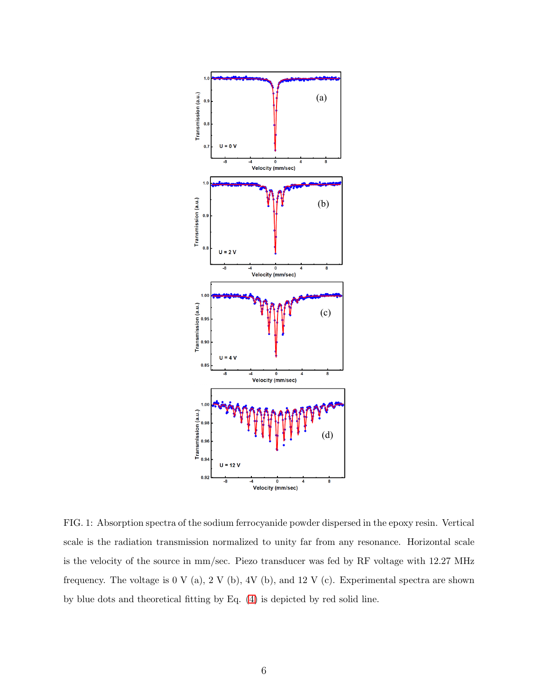

FIG. 1: Absorption spectra of the sodium ferrocyanide powder dispersed in the epoxy resin. Vertical scale is the radiation transmission normalized to unity far from any resonance. Horizontal scale is the velocity of the source in mm/sec. Piezo transducer was fed by RF voltage with 12.27 MHz frequency. The voltage is 0 V (a), 2 V (b), 4V (b), and 12 V (c). Experimental spectra are shown by blue dots and theoretical fitting by Eq. [\(4\)](#page-4-0) is depicted by red solid line.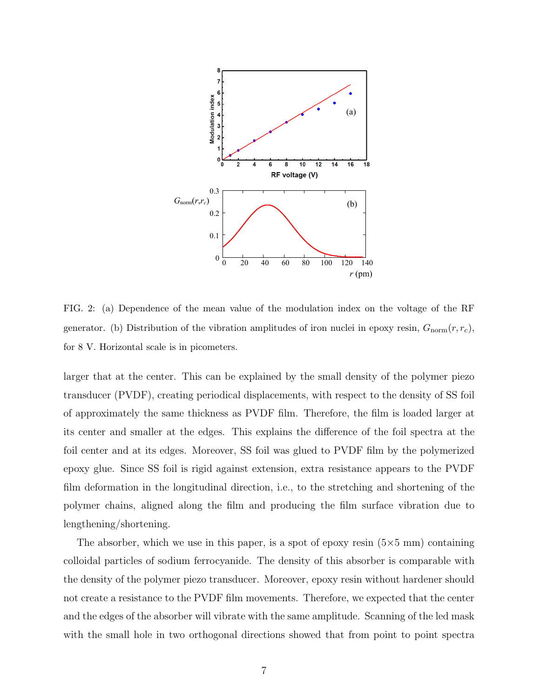

FIG. 2: (a) Dependence of the mean value of the modulation index on the voltage of the RF generator. (b) Distribution of the vibration amplitudes of iron nuclei in epoxy resin,  $G_{\text{norm}}(r, r_c)$ , for 8 V. Horizontal scale is in picometers.

larger that at the center. This can be explained by the small density of the polymer piezo transducer (PVDF), creating periodical displacements, with respect to the density of SS foil of approximately the same thickness as PVDF film. Therefore, the film is loaded larger at its center and smaller at the edges. This explains the difference of the foil spectra at the foil center and at its edges. Moreover, SS foil was glued to PVDF film by the polymerized epoxy glue. Since SS foil is rigid against extension, extra resistance appears to the PVDF film deformation in the longitudinal direction, i.e., to the stretching and shortening of the polymer chains, aligned along the film and producing the film surface vibration due to lengthening/shortening.

The absorber, which we use in this paper, is a spot of epoxy resin  $(5\times5 \text{ mm})$  containing colloidal particles of sodium ferrocyanide. The density of this absorber is comparable with the density of the polymer piezo transducer. Moreover, epoxy resin without hardener should not create a resistance to the PVDF film movements. Therefore, we expected that the center and the edges of the absorber will vibrate with the same amplitude. Scanning of the led mask with the small hole in two orthogonal directions showed that from point to point spectra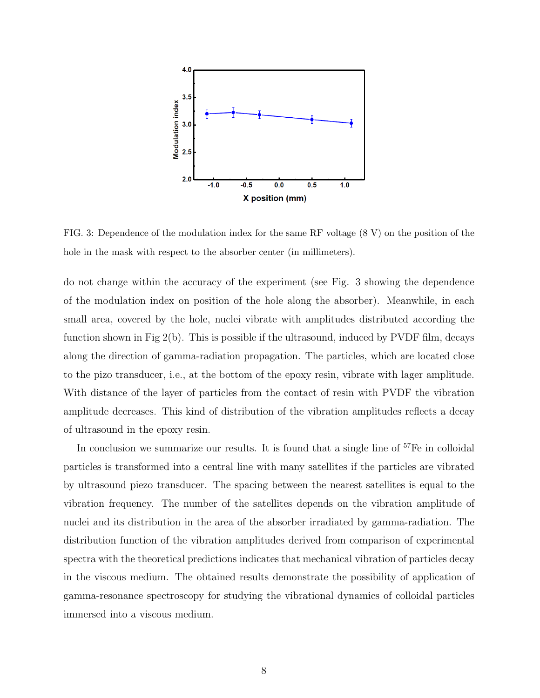

FIG. 3: Dependence of the modulation index for the same RF voltage (8 V) on the position of the hole in the mask with respect to the absorber center (in millimeters).

do not change within the accuracy of the experiment (see Fig. 3 showing the dependence of the modulation index on position of the hole along the absorber). Meanwhile, in each small area, covered by the hole, nuclei vibrate with amplitudes distributed according the function shown in Fig 2(b). This is possible if the ultrasound, induced by PVDF film, decays along the direction of gamma-radiation propagation. The particles, which are located close to the pizo transducer, i.e., at the bottom of the epoxy resin, vibrate with lager amplitude. With distance of the layer of particles from the contact of resin with PVDF the vibration amplitude decreases. This kind of distribution of the vibration amplitudes reflects a decay of ultrasound in the epoxy resin.

In conclusion we summarize our results. It is found that a single line of  $57Fe$  in colloidal particles is transformed into a central line with many satellites if the particles are vibrated by ultrasound piezo transducer. The spacing between the nearest satellites is equal to the vibration frequency. The number of the satellites depends on the vibration amplitude of nuclei and its distribution in the area of the absorber irradiated by gamma-radiation. The distribution function of the vibration amplitudes derived from comparison of experimental spectra with the theoretical predictions indicates that mechanical vibration of particles decay in the viscous medium. The obtained results demonstrate the possibility of application of gamma-resonance spectroscopy for studying the vibrational dynamics of colloidal particles immersed into a viscous medium.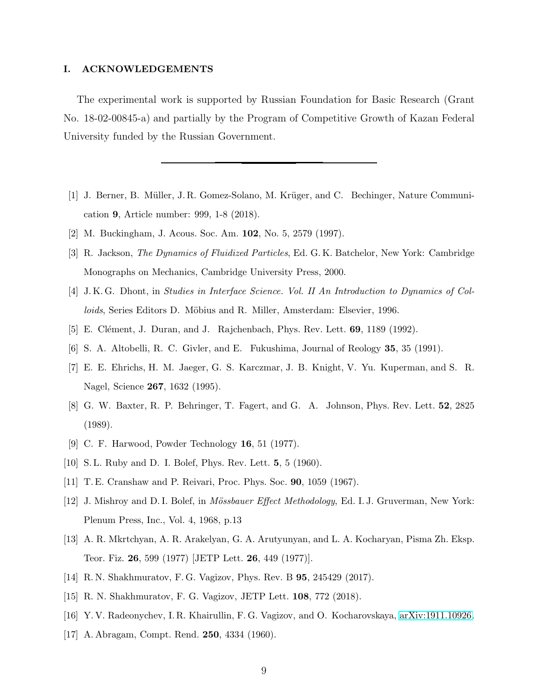## I. ACKNOWLEDGEMENTS

The experimental work is supported by Russian Foundation for Basic Research (Grant No. 18-02-00845-a) and partially by the Program of Competitive Growth of Kazan Federal University funded by the Russian Government.

- <span id="page-8-0"></span>[1] J. Berner, B. Müller, J. R. Gomez-Solano, M. Krüger, and C. Bechinger, Nature Communication 9, Article number: 999, 1-8 (2018).
- <span id="page-8-2"></span><span id="page-8-1"></span>[2] M. Buckingham, J. Acous. Soc. Am. 102, No. 5, 2579 (1997).
- [3] R. Jackson, The Dynamics of Fluidized Particles, Ed. G. K. Batchelor, New York: Cambridge Monographs on Mechanics, Cambridge University Press, 2000.
- <span id="page-8-3"></span>[4] J. K. G. Dhont, in Studies in Interface Science. Vol. II An Introduction to Dynamics of Colloids, Series Editors D. Möbius and R. Miller, Amsterdam: Elsevier, 1996.
- <span id="page-8-5"></span><span id="page-8-4"></span>[5] E. Clément, J. Duran, and J. Rajchenbach, Phys. Rev. Lett. **69**, 1189 (1992).
- [6] S. A. Altobelli, R. C. Givler, and E. Fukushima, Journal of Reology 35, 35 (1991).
- <span id="page-8-6"></span>[7] E. E. Ehrichs, H. M. Jaeger, G. S. Karczmar, J. B. Knight, V. Yu. Kuperman, and S. R. Nagel, Science 267, 1632 (1995).
- <span id="page-8-7"></span>[8] G. W. Baxter, R. P. Behringer, T. Fagert, and G. A. Johnson, Phys. Rev. Lett. 52, 2825 (1989).
- <span id="page-8-8"></span>[9] C. F. Harwood, Powder Technology 16, 51 (1977).
- <span id="page-8-14"></span><span id="page-8-9"></span>[10] S. L. Ruby and D. I. Bolef, Phys. Rev. Lett. 5, 5 (1960).
- [11] T. E. Cranshaw and P. Reivari, Proc. Phys. Soc. 90, 1059 (1967).
- <span id="page-8-16"></span>[12] J. Mishroy and D. I. Bolef, in *Mössbauer Effect Methodology*, Ed. I. J. Gruverman, New York: Plenum Press, Inc., Vol. 4, 1968, p.13
- <span id="page-8-11"></span>[13] A. R. Mkrtchyan, A. R. Arakelyan, G. A. Arutyunyan, and L. A. Kocharyan, Pisma Zh. Eksp. Teor. Fiz. 26, 599 (1977) [JETP Lett. 26, 449 (1977)].
- <span id="page-8-13"></span>[14] R. N. Shakhmuratov, F. G. Vagizov, Phys. Rev. B 95, 245429 (2017).
- <span id="page-8-10"></span>[15] R. N. Shakhmuratov, F. G. Vagizov, JETP Lett. 108, 772 (2018).
- <span id="page-8-12"></span>[16] Y. V. Radeonychev, I. R. Khairullin, F. G. Vagizov, and O. Kocharovskaya, [arXiv:1911.10926.](http://arxiv.org/abs/1911.10926)
- <span id="page-8-15"></span>[17] A. Abragam, Compt. Rend. 250, 4334 (1960).